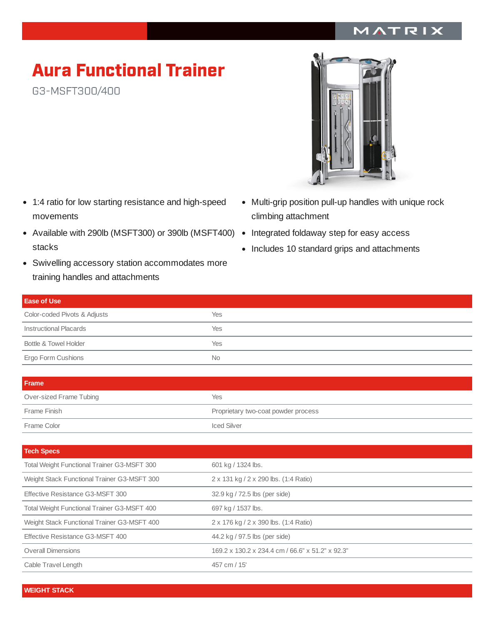## MATRIX

## Aura Functional Trainer

G3-MSFT300/400

- 1:4 ratio for low starting resistance and high-speed movements
- Available with 290lb (MSFT300) or 390lb (MSFT400) Integrated foldaway step for easy access stacks
- Swivelling accessory station accommodates more training handles and attachments
- Multi-grip position pull-up handles with unique rock climbing attachment
- 
- Includes 10 standard grips and attachments

| <b>Ease of Use</b>           |     |
|------------------------------|-----|
| Color-coded Pivots & Adjusts | Yes |
| Instructional Placards       | Yes |
| Bottle & Towel Holder        | Yes |
| Ergo Form Cushions           | No. |

| <b>Frame</b>            |                                     |
|-------------------------|-------------------------------------|
| Over-sized Frame Tubing | Yes                                 |
| Frame Finish            | Proprietary two-coat powder process |
| Frame Color             | <b>Iced Silver</b>                  |

| <b>Tech Specs</b>                                  |                                                  |
|----------------------------------------------------|--------------------------------------------------|
| <b>Total Weight Functional Trainer G3-MSFT 300</b> | 601 kg / 1324 lbs.                               |
| Weight Stack Functional Trainer G3-MSFT 300        | 2 x 131 kg / 2 x 290 lbs. (1:4 Ratio)            |
| Effective Resistance G3-MSFT 300                   | 32.9 kg / 72.5 lbs (per side)                    |
| <b>Total Weight Functional Trainer G3-MSFT 400</b> | 697 kg / 1537 lbs.                               |
| Weight Stack Functional Trainer G3-MSFT 400        | 2 x 176 kg / 2 x 390 lbs. (1:4 Ratio)            |
| Effective Resistance G3-MSFT 400                   | 44.2 kg / 97.5 lbs (per side)                    |
| <b>Overall Dimensions</b>                          | 169.2 x 130.2 x 234.4 cm / 66.6" x 51.2" x 92.3" |
| Cable Travel Length                                | 457 cm / 15'                                     |